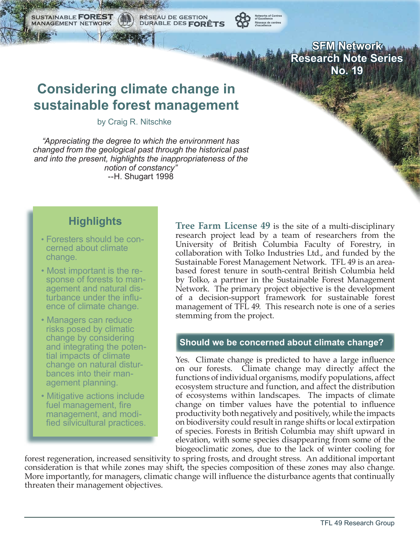**SFM Network Research Note Series No. 19**

# **Considering climate change in sustainable forest management**

RÉSEAU DE GESTION<br>DURABLE DES **FORÊTS** 

by Craig R. Nitschke

*"Appreciating the degree to which the environment has changed from the geological past through the historical past and into the present, highlights the inappropriateness of the notion of constancy"* --H. Shugart 1998

# **Highlights**

SUSTAINABLE **FORE MANAGEMENT NETWORK** 

- Foresters should be con cerned about climate change.
- Most important is the re sponse of forests to man agement and natural dis turbance under the influ ence of climate change.
- Managers can reduce risks posed by climatic change by considering and integrating the poten tial impacts of climate change on natural distur bances into their man agement planning.
- Mitigative actions include fuel management, fire management, and modi fied silvicultural practices.

**Tree Farm License 49** is the site of a multi-disciplinary research project lead by a team of researchers from the University of British Columbia Faculty of Forestry, in collaboration with Tolko Industries Ltd., and funded by the Sustainable Forest Management Network. TFL 49 is an areabased forest tenure in south-central British Columbia held by Tolko, a partner in the Sustainable Forest Management Network. The primary project objective is the development of a decision-support framework for sustainable forest management of TFL 49. This research note is one of a series stemming from the project.

#### **Should we be concerned about climate change?**

Yes. Climate change is predicted to have a large influence on our forests. Climate change may directly affect the functions of individual organisms, modify populations, affect ecosystem structure and function, and affect the distribution of ecosystems within landscapes. The impacts of climate change on timber values have the potential to influence productivity both negatively and positively, while the impacts on biodiversity could result in range shifts or local extirpation of species. Forests in British Columbia may shift upward in elevation, with some species disappearing from some of the biogeoclimatic zones, due to the lack of winter cooling for

forest regeneration, increased sensitivity to spring frosts, and drought stress. An additional important consideration is that while zones may shift, the species composition of these zones may also change. More importantly, for managers, climatic change will influence the disturbance agents that continually threaten their management objectives.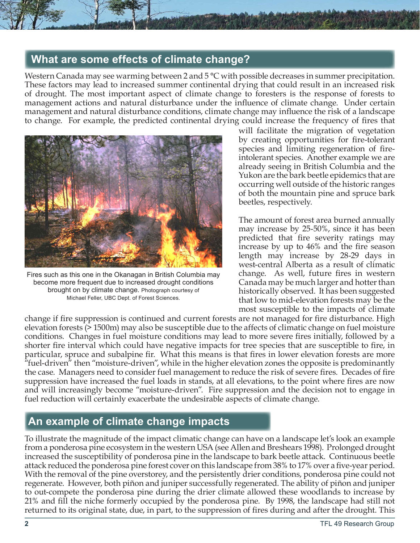# **What are some effects of climate change?**

Western Canada may see warming between 2 and 5 °C with possible decreases in summer precipitation. These factors may lead to increased summer continental drying that could result in an increased risk of drought. The most important aspect of climate change to foresters is the response of forests to management actions and natural disturbance under the influence of climate change. Under certain management and natural disturbance conditions, climate change may influence the risk of a landscape to change. For example, the predicted continental drying could increase the frequency of fires that



Fires such as this one in the Okanagan in British Columbia may become more frequent due to increased drought conditions brought on by climate change. Photograph courtesy of Michael Feller, UBC Dept. of Forest Sciences.

will facilitate the migration of vegetation by creating opportunities for fire-tolerant species and limiting regeneration of fireintolerant species. Another example we are already seeing in British Columbia and the Yukon are the bark beetle epidemics that are occurring well outside of the historic ranges of both the mountain pine and spruce bark beetles, respectively.

The amount of forest area burned annually may increase by 25-50%, since it has been predicted that fire severity ratings may increase by up to 46% and the fire season length may increase by 28-29 days in west-central Alberta as a result of climatic change. As well, future fires in western Canada may be much larger and hotter than historically observed. It has been suggested that low to mid-elevation forests may be the most susceptible to the impacts of climate

change if fire suppression is continued and current forests are not managed for fire disturbance. High elevation forests (> 1500m) may also be susceptible due to the affects of climatic change on fuel moisture conditions. Changes in fuel moisture conditions may lead to more severe fires initially, followed by a shorter fire interval which could have negative impacts for tree species that are susceptible to fire, in particular, spruce and subalpine fir. What this means is that fires in lower elevation forests are more "fuel-driven" then "moisture-driven", while in the higher elevation zones the opposite is predominantly the case. Managers need to consider fuel management to reduce the risk of severe fires. Decades of fire suppression have increased the fuel loads in stands, at all elevations, to the point where fires are now and will increasingly become "moisture-driven". Fire suppression and the decision not to engage in fuel reduction will certainly exacerbate the undesirable aspects of climate change.

# **An example of climate change impacts**

To illustrate the magnitude of the impact climatic change can have on a landscape let's look an example from a ponderosa pine ecosystem in the western USA (see Allen and Breshears 1998). Prolonged drought increased the susceptibility of ponderosa pine in the landscape to bark beetle attack. Continuous beetle attack reduced the ponderosa pine forest cover on this landscape from 38% to 17% over a five-year period. With the removal of the pine overstorey, and the persistently drier conditions, ponderosa pine could not regenerate. However, both piñon and juniper successfully regenerated. The ability of piñon and juniper to out-compete the ponderosa pine during the drier climate allowed these woodlands to increase by 21% and fill the niche formerly occupied by the ponderosa pine. By 1998, the landscape had still not returned to its original state, due, in part, to the suppression of fires during and after the drought. This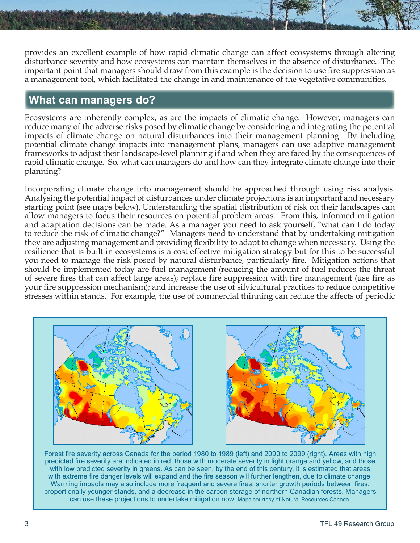provides an excellent example of how rapid climatic change can affect ecosystems through altering disturbance severity and how ecosystems can maintain themselves in the absence of disturbance. The important point that managers should draw from this example is the decision to use fire suppression as a management tool, which facilitated the change in and maintenance of the vegetative communities.

# **What can managers do?**

Ecosystems are inherently complex, as are the impacts of climatic change. However, managers can reduce many of the adverse risks posed by climatic change by considering and integrating the potential impacts of climate change on natural disturbances into their management planning. By including potential climate change impacts into management plans, managers can use adaptive management frameworks to adjust their landscape-level planning if and when they are faced by the consequences of rapid climatic change. So, what can managers do and how can they integrate climate change into their planning?

Incorporating climate change into management should be approached through using risk analysis. Analysing the potential impact of disturbances under climate projections is an important and necessary starting point (see maps below). Understanding the spatial distribution of risk on their landscapes can allow managers to focus their resources on potential problem areas. From this, informed mitigation and adaptation decisions can be made. As a manager you need to ask yourself, "what can I do today to reduce the risk of climatic change?" Managers need to understand that by undertaking mitigation they are adjusting management and providing flexibility to adapt to change when necessary. Using the resilience that is built in ecosystems is a cost effective mitigation strategy but for this to be successful you need to manage the risk posed by natural disturbance, particularly fire. Mitigation actions that should be implemented today are fuel management (reducing the amount of fuel reduces the threat of severe fires that can affect large areas); replace fire suppression with fire management (use fire as your fire suppression mechanism); and increase the use of silvicultural practices to reduce competitive stresses within stands. For example, the use of commercial thinning can reduce the affects of periodic



Forest fire severity across Canada for the period 1980 to 1989 (left) and 2090 to 2099 (right). Areas with high predicted fire severity are indicated in red, those with moderate severity in light orange and yellow, and those with low predicted severity in greens. As can be seen, by the end of this century, it is estimated that areas with extreme fire danger levels will expand and the fire season will further lengthen, due to climate change. Warming impacts may also include more frequent and severe fires, shorter growth periods between fires, proportionally younger stands, and a decrease in the carbon storage of northern Canadian forests. Managers can use these projections to undertake mitigation now. Maps courtesy of Natural Resources Canada.